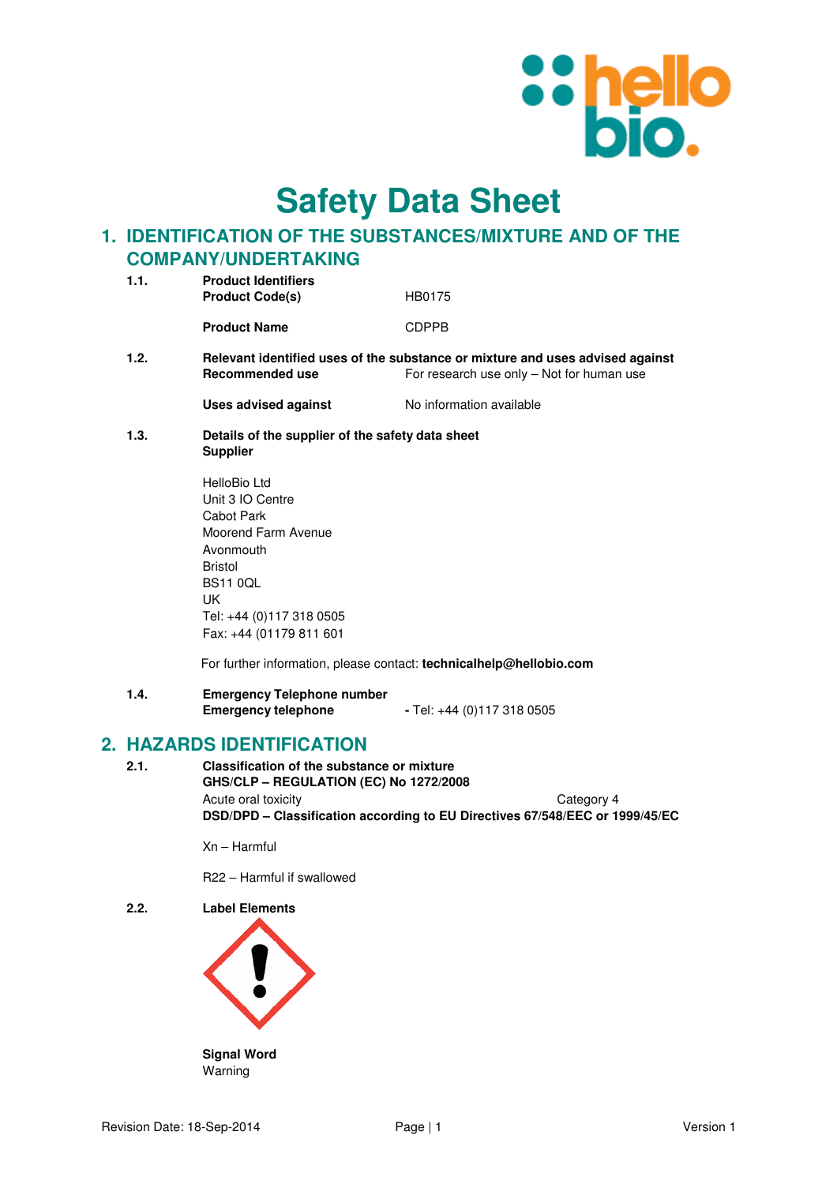

**Safety Data Sheet**

# **1. IDENTIFICATION OF THE SUBSTANCES/MIXTURE AND OF THE COMPANY/UNDERTAKING**

| 1.1. | <b>Product Identifiers</b><br><b>Product Code(s)</b> | HB0175                                                                                                                     |  |
|------|------------------------------------------------------|----------------------------------------------------------------------------------------------------------------------------|--|
|      | <b>Product Name</b>                                  | <b>CDPPB</b>                                                                                                               |  |
| 1.2. | Recommended use                                      | Relevant identified uses of the substance or mixture and uses advised against<br>For research use only – Not for human use |  |

**Uses advised against No information available** 

**1.3. Details of the supplier of the safety data sheet Supplier** 

| HelloBio I td            |
|--------------------------|
| Unit 3 IO Centre         |
| Cabot Park               |
| Moorend Farm Avenue      |
| Avonmouth                |
| <b>Bristol</b>           |
| BS11 0OL                 |
| IJΚ                      |
| Tel: +44 (0)117 318 0505 |
| Fax: +44 (01179 811 601  |

For further information, please contact: **technicalhelp@hellobio.com** 

**1.4. Emergency Telephone number Emergency telephone** - Tel: +44 (0)117 318 0505

## **2. HAZARDS IDENTIFICATION**

**2.1. Classification of the substance or mixture GHS/CLP – REGULATION (EC) No 1272/2008**  Acute oral toxicity **Category 4 DSD/DPD – Classification according to EU Directives 67/548/EEC or 1999/45/EC** 

Xn – Harmful

R22 – Harmful if swallowed

**2.2. Label Elements** 



Warning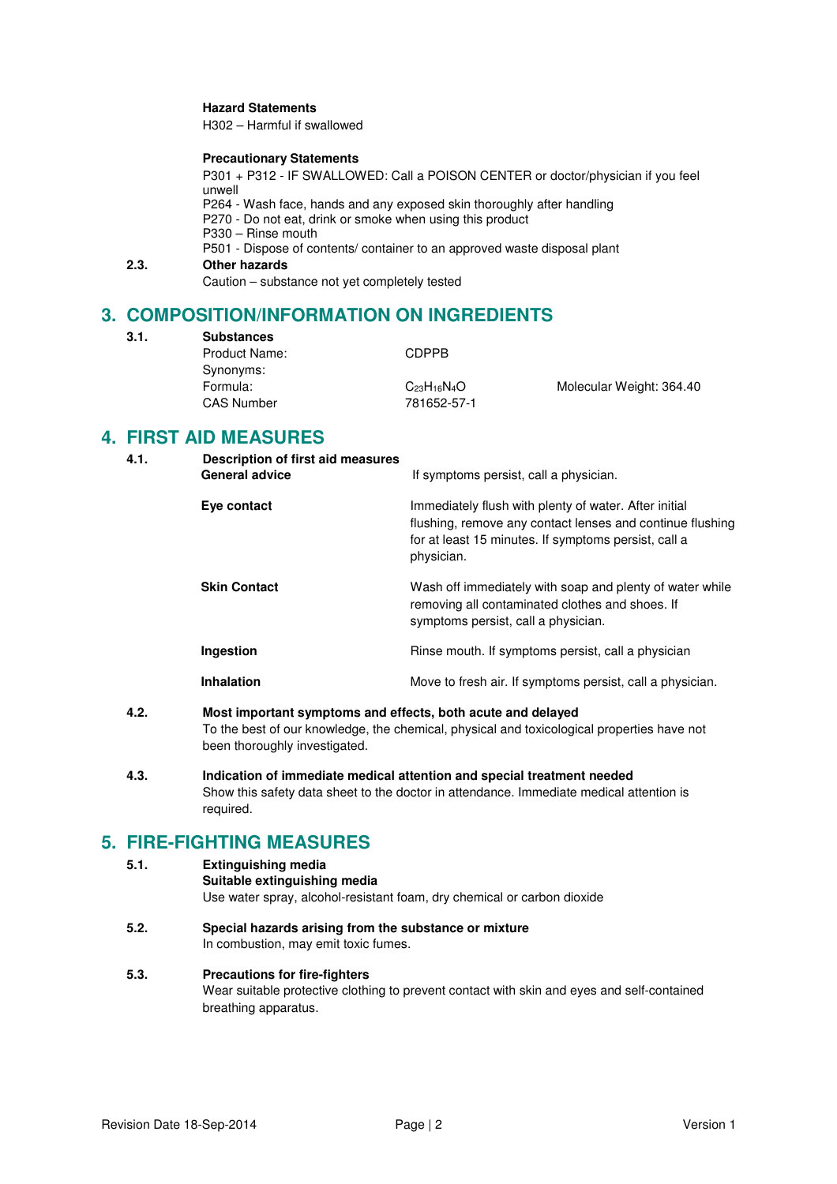### **Hazard Statements**

H302 – Harmful if swallowed

#### **Precautionary Statements**

P301 + P312 - IF SWALLOWED: Call a POISON CENTER or doctor/physician if you feel unwell P264 - Wash face, hands and any exposed skin thoroughly after handling P270 - Do not eat, drink or smoke when using this product P330 – Rinse mouth P501 - Dispose of contents/ container to an approved waste disposal plant **2.3. Other hazards** 

Caution – substance not yet completely tested

# **3. COMPOSITION/INFORMATION ON INGREDIENTS**

**3.1. Substances** 

Product Name: CDPPB Synonyms: Formula: C<sub>23</sub>H<sub>16</sub>N<sub>4</sub>O Molecular Weight: 364.40 CAS Number 781652-57-1

## **4. FIRST AID MEASURES**

| 4.1. | Description of first aid measures<br><b>General advice</b> | If symptoms persist, call a physician.                                                                                                                                                   |
|------|------------------------------------------------------------|------------------------------------------------------------------------------------------------------------------------------------------------------------------------------------------|
|      | Eye contact                                                | Immediately flush with plenty of water. After initial<br>flushing, remove any contact lenses and continue flushing<br>for at least 15 minutes. If symptoms persist, call a<br>physician. |
|      | <b>Skin Contact</b>                                        | Wash off immediately with soap and plenty of water while<br>removing all contaminated clothes and shoes. If<br>symptoms persist, call a physician.                                       |
|      | Ingestion                                                  | Rinse mouth. If symptoms persist, call a physician                                                                                                                                       |
|      | <b>Inhalation</b>                                          | Move to fresh air. If symptoms persist, call a physician.                                                                                                                                |

## **4.2. Most important symptoms and effects, both acute and delayed**  To the best of our knowledge, the chemical, physical and toxicological properties have not been thoroughly investigated.

**4.3. Indication of immediate medical attention and special treatment needed**  Show this safety data sheet to the doctor in attendance. Immediate medical attention is required.

# **5. FIRE-FIGHTING MEASURES**

#### **5.1. Extinguishing media**

**Suitable extinguishing media**

Use water spray, alcohol-resistant foam, dry chemical or carbon dioxide

**5.2. Special hazards arising from the substance or mixture**  In combustion, may emit toxic fumes.

## **5.3. Precautions for fire-fighters**

Wear suitable protective clothing to prevent contact with skin and eyes and self-contained breathing apparatus.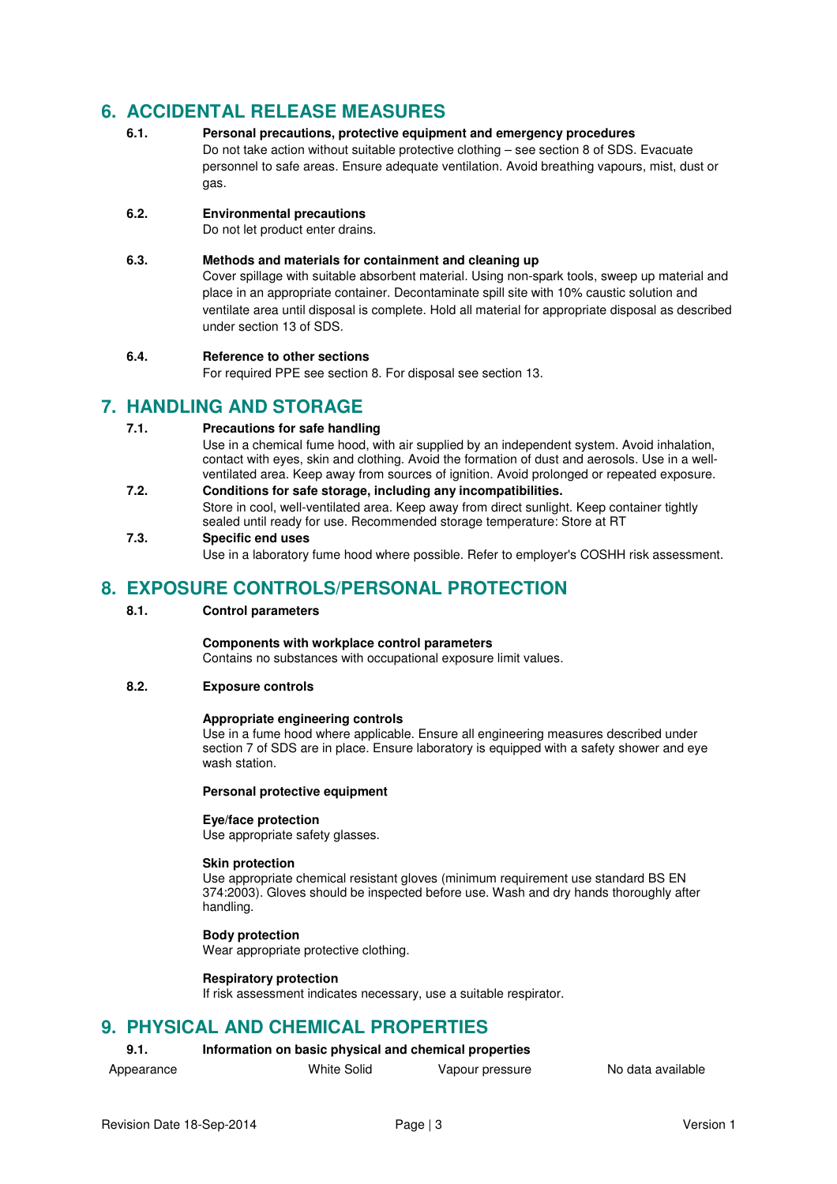# **6. ACCIDENTAL RELEASE MEASURES**

**6.1. Personal precautions, protective equipment and emergency procedures**  Do not take action without suitable protective clothing – see section 8 of SDS. Evacuate personnel to safe areas. Ensure adequate ventilation. Avoid breathing vapours, mist, dust or gas.

## **6.2. Environmental precautions**

Do not let product enter drains.

## **6.3. Methods and materials for containment and cleaning up**

Cover spillage with suitable absorbent material. Using non-spark tools, sweep up material and place in an appropriate container. Decontaminate spill site with 10% caustic solution and ventilate area until disposal is complete. Hold all material for appropriate disposal as described under section 13 of SDS.

### **6.4. Reference to other sections**

For required PPE see section 8. For disposal see section 13.

## **7. HANDLING AND STORAGE**

### **7.1. Precautions for safe handling**

Use in a chemical fume hood, with air supplied by an independent system. Avoid inhalation, contact with eyes, skin and clothing. Avoid the formation of dust and aerosols. Use in a wellventilated area. Keep away from sources of ignition. Avoid prolonged or repeated exposure.

**7.2. Conditions for safe storage, including any incompatibilities.**  Store in cool, well-ventilated area. Keep away from direct sunlight. Keep container tightly sealed until ready for use. Recommended storage temperature: Store at RT

### **7.3. Specific end uses**

Use in a laboratory fume hood where possible. Refer to employer's COSHH risk assessment.

## **8. EXPOSURE CONTROLS/PERSONAL PROTECTION**

### **8.1. Control parameters**

## **Components with workplace control parameters**

Contains no substances with occupational exposure limit values.

### **8.2. Exposure controls**

#### **Appropriate engineering controls**

Use in a fume hood where applicable. Ensure all engineering measures described under section 7 of SDS are in place. Ensure laboratory is equipped with a safety shower and eye wash station.

#### **Personal protective equipment**

#### **Eye/face protection**

Use appropriate safety glasses.

#### **Skin protection**

Use appropriate chemical resistant gloves (minimum requirement use standard BS EN 374:2003). Gloves should be inspected before use. Wash and dry hands thoroughly after handling.

## **Body protection**

Wear appropriate protective clothing.

#### **Respiratory protection**

If risk assessment indicates necessary, use a suitable respirator.

## **9. PHYSICAL AND CHEMICAL PROPERTIES**

## **9.1. Information on basic physical and chemical properties**

- 
- Appearance **All Mille** Solid Vapour pressure No data available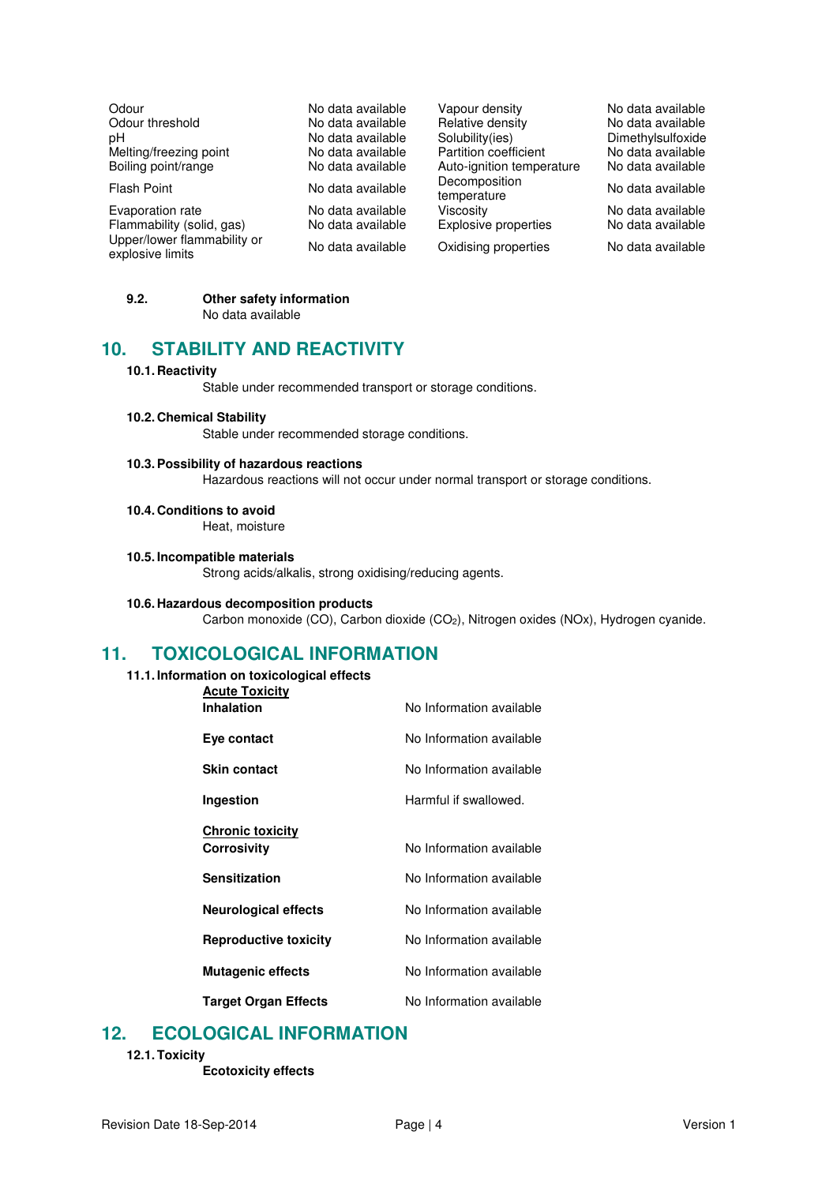| Odour                                           | No data availabl |
|-------------------------------------------------|------------------|
| Odour threshold                                 | No data availabl |
| рH                                              | No data availabl |
| Melting/freezing point                          | No data availabl |
| Boiling point/range                             | No data availabl |
| <b>Flash Point</b>                              | No data availabl |
| Evaporation rate                                | No data availabl |
| Flammability (solid, gas)                       | No data availabl |
| Upper/lower flammability or<br>explosive limits | No data availabl |

le Capour density No data available<br>le Relative density No data available le Relative density<br>le Solubility(ies) le Solubility(ies) Dimethylsulfoxide<br>le Partition coefficient No data available melting medicient No data available<br>In Partition coefficient No data available Auto-ignition temperature Flash Point Decomposition<br>
Reference data available temperature Decomposition<br>temperature No data available<br>Viscosity No data available Evaporation rate No data available Viscosity No data available le Explosive properties le Oxidising properties No data available

## **9.2. Other safety information**

No data available

# **10. STABILITY AND REACTIVITY**

#### **10.1. Reactivity**

Stable under recommended transport or storage conditions.

#### **10.2. Chemical Stability**

Stable under recommended storage conditions.

#### **10.3. Possibility of hazardous reactions**

Hazardous reactions will not occur under normal transport or storage conditions.

#### **10.4. Conditions to avoid**

Heat, moisture

#### **10.5. Incompatible materials**

Strong acids/alkalis, strong oxidising/reducing agents.

#### **10.6. Hazardous decomposition products**

Carbon monoxide (CO), Carbon dioxide (CO2), Nitrogen oxides (NOx), Hydrogen cyanide.

## **11. TOXICOLOGICAL INFORMATION**

#### **11.1. Information on toxicological effects**

| <b>Acute Toxicity</b>        |                          |
|------------------------------|--------------------------|
| <b>Inhalation</b>            | No Information available |
| Eye contact                  | No Information available |
| <b>Skin contact</b>          | No Information available |
| Ingestion                    | Harmful if swallowed.    |
| <b>Chronic toxicity</b>      |                          |
| <b>Corrosivity</b>           | No Information available |
| <b>Sensitization</b>         | No Information available |
| <b>Neurological effects</b>  | No Information available |
| <b>Reproductive toxicity</b> | No Information available |
| <b>Mutagenic effects</b>     | No Information available |
| <b>Target Organ Effects</b>  | No Information available |

## **12. ECOLOGICAL INFORMATION**

**12.1. Toxicity** 

**Ecotoxicity effects**